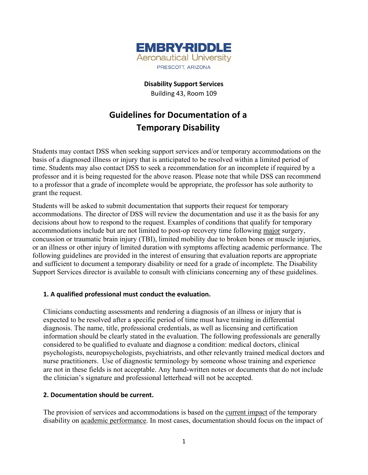

**Disability Support Services** Building 43, Room 109

# **Guidelines for Documentation of a Temporary Disability**

Students may contact DSS when seeking support services and/or temporary accommodations on the basis of a diagnosed illness or injury that is anticipated to be resolved within a limited period of time. Students may also contact DSS to seek a recommendation for an incomplete if required by a professor and it is being requested for the above reason. Please note that while DSS can recommend to a professor that a grade of incomplete would be appropriate, the professor has sole authority to grant the request.

Students will be asked to submit documentation that supports their request for temporary accommodations. The director of DSS will review the documentation and use it as the basis for any decisions about how to respond to the request. Examples of conditions that qualify for temporary accommodations include but are not limited to post-op recovery time following major surgery, concussion or traumatic brain injury (TBI), limited mobility due to broken bones or muscle injuries, or an illness or other injury of limited duration with symptoms affecting academic performance. The following guidelines are provided in the interest of ensuring that evaluation reports are appropriate and sufficient to document a temporary disability or need for a grade of incomplete. The Disability Support Services director is available to consult with clinicians concerning any of these guidelines.

## **1. A qualified professional must conduct the evaluation.**

Clinicians conducting assessments and rendering a diagnosis of an illness or injury that is expected to be resolved after a specific period of time must have training in differential diagnosis. The name, title, professional credentials, as well as licensing and certification information should be clearly stated in the evaluation. The following professionals are generally considered to be qualified to evaluate and diagnose a condition: medical doctors, clinical psychologists, neuropsychologists, psychiatrists, and other relevantly trained medical doctors and nurse practitioners. Use of diagnostic terminology by someone whose training and experience are not in these fields is not acceptable. Any hand-written notes or documents that do not include the clinician's signature and professional letterhead will not be accepted.

## **2. Documentation should be current.**

The provision of services and accommodations is based on the current impact of the temporary disability on academic performance. In most cases, documentation should focus on the impact of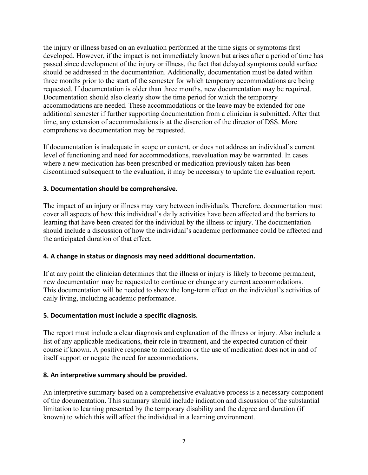the injury or illness based on an evaluation performed at the time signs or symptoms first developed. However, if the impact is not immediately known but arises after a period of time has passed since development of the injury or illness, the fact that delayed symptoms could surface should be addressed in the documentation. Additionally, documentation must be dated within three months prior to the start of the semester for which temporary accommodations are being requested. If documentation is older than three months, new documentation may be required. Documentation should also clearly show the time period for which the temporary accommodations are needed. These accommodations or the leave may be extended for one additional semester if further supporting documentation from a clinician is submitted. After that time, any extension of accommodations is at the discretion of the director of DSS. More comprehensive documentation may be requested.

If documentation is inadequate in scope or content, or does not address an individual's current level of functioning and need for accommodations, reevaluation may be warranted. In cases where a new medication has been prescribed or medication previously taken has been discontinued subsequent to the evaluation, it may be necessary to update the evaluation report.

## **3. Documentation should be comprehensive.**

The impact of an injury or illness may vary between individuals. Therefore, documentation must cover all aspects of how this individual's daily activities have been affected and the barriers to learning that have been created for the individual by the illness or injury. The documentation should include a discussion of how the individual's academic performance could be affected and the anticipated duration of that effect.

## **4. A change in status or diagnosis may need additional documentation.**

If at any point the clinician determines that the illness or injury is likely to become permanent, new documentation may be requested to continue or change any current accommodations. This documentation will be needed to show the long-term effect on the individual's activities of daily living, including academic performance.

## **5. Documentation must include a specific diagnosis.**

The report must include a clear diagnosis and explanation of the illness or injury. Also include a list of any applicable medications, their role in treatment, and the expected duration of their course if known. A positive response to medication or the use of medication does not in and of itself support or negate the need for accommodations.

#### **8. An interpretive summary should be provided.**

An interpretive summary based on a comprehensive evaluative process is a necessary component of the documentation. This summary should include indication and discussion of the substantial limitation to learning presented by the temporary disability and the degree and duration (if known) to which this will affect the individual in a learning environment.